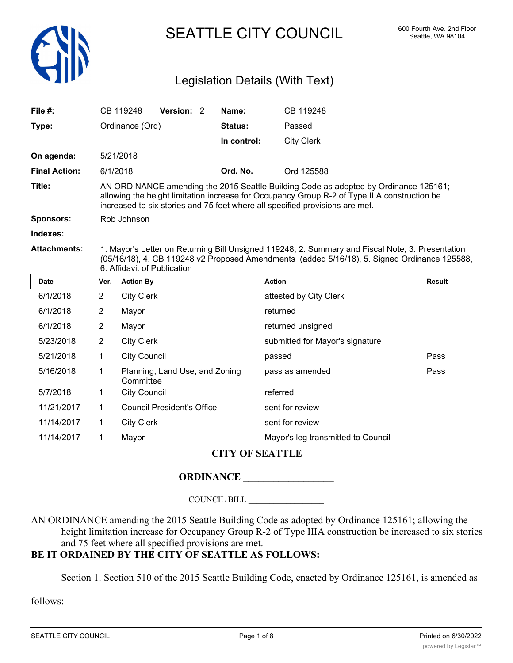

SEATTLE CITY COUNCIL 600 Fourth Ave. 2nd Floor

## Legislation Details (With Text)

| File #:                |                                                                                                                                                                                                                                                                      | CB 119248                                            | Version: 2 |  | Name:       | CB 119248                          |               |  |
|------------------------|----------------------------------------------------------------------------------------------------------------------------------------------------------------------------------------------------------------------------------------------------------------------|------------------------------------------------------|------------|--|-------------|------------------------------------|---------------|--|
| Type:                  | Ordinance (Ord)                                                                                                                                                                                                                                                      |                                                      |            |  | Status:     | Passed                             |               |  |
|                        |                                                                                                                                                                                                                                                                      |                                                      |            |  | In control: | <b>City Clerk</b>                  |               |  |
| On agenda:             |                                                                                                                                                                                                                                                                      | 5/21/2018                                            |            |  |             |                                    |               |  |
| <b>Final Action:</b>   |                                                                                                                                                                                                                                                                      | Ord. No.<br>6/1/2018                                 |            |  |             | Ord 125588                         |               |  |
| Title:                 | AN ORDINANCE amending the 2015 Seattle Building Code as adopted by Ordinance 125161;<br>allowing the height limitation increase for Occupancy Group R-2 of Type IIIA construction be<br>increased to six stories and 75 feet where all specified provisions are met. |                                                      |            |  |             |                                    |               |  |
| <b>Sponsors:</b>       | Rob Johnson                                                                                                                                                                                                                                                          |                                                      |            |  |             |                                    |               |  |
| Indexes:               |                                                                                                                                                                                                                                                                      |                                                      |            |  |             |                                    |               |  |
| <b>Attachments:</b>    | 1. Mayor's Letter on Returning Bill Unsigned 119248, 2. Summary and Fiscal Note, 3. Presentation<br>(05/16/18), 4. CB 119248 v2 Proposed Amendments (added 5/16/18), 5. Signed Ordinance 125588,<br>6. Affidavit of Publication                                      |                                                      |            |  |             |                                    |               |  |
| <b>Date</b>            | Ver.                                                                                                                                                                                                                                                                 | <b>Action By</b>                                     |            |  |             | <b>Action</b>                      | <b>Result</b> |  |
| 6/1/2018               | $\overline{2}$                                                                                                                                                                                                                                                       | <b>City Clerk</b>                                    |            |  |             | attested by City Clerk             |               |  |
| 6/1/2018               | 2                                                                                                                                                                                                                                                                    | Mayor                                                |            |  |             | returned                           |               |  |
| 6/1/2018               | $\overline{2}$                                                                                                                                                                                                                                                       | Mayor                                                |            |  |             | returned unsigned                  |               |  |
| 5/23/2018              | $\overline{2}$                                                                                                                                                                                                                                                       | <b>City Clerk</b><br>submitted for Mayor's signature |            |  |             |                                    |               |  |
| 5/21/2018              | 1                                                                                                                                                                                                                                                                    | <b>City Council</b>                                  |            |  |             | passed                             | Pass          |  |
| 5/16/2018              | 1                                                                                                                                                                                                                                                                    | Planning, Land Use, and Zoning<br>Committee          |            |  |             | pass as amended                    | Pass          |  |
| 5/7/2018               | 1                                                                                                                                                                                                                                                                    | <b>City Council</b>                                  |            |  |             | referred                           |               |  |
| 11/21/2017             | 1.                                                                                                                                                                                                                                                                   | <b>Council President's Office</b>                    |            |  |             | sent for review                    |               |  |
| 11/14/2017             | $\mathbf 1$                                                                                                                                                                                                                                                          | <b>City Clerk</b><br>sent for review                 |            |  |             |                                    |               |  |
| 11/14/2017             | $\mathbf 1$                                                                                                                                                                                                                                                          | Mayor                                                |            |  |             | Mayor's leg transmitted to Council |               |  |
| <b>CITY OF SEATTLE</b> |                                                                                                                                                                                                                                                                      |                                                      |            |  |             |                                    |               |  |

# **ORDINANCE \_\_\_\_\_\_\_\_\_\_\_\_\_\_\_\_\_\_**

COUNCIL BILL \_\_\_\_\_\_\_\_\_\_\_\_\_\_\_\_\_\_

AN ORDINANCE amending the 2015 Seattle Building Code as adopted by Ordinance 125161; allowing the height limitation increase for Occupancy Group R-2 of Type IIIA construction be increased to six stories and 75 feet where all specified provisions are met.

### **BE IT ORDAINED BY THE CITY OF SEATTLE AS FOLLOWS:**

Section 1. Section 510 of the 2015 Seattle Building Code, enacted by Ordinance 125161, is amended as

follows: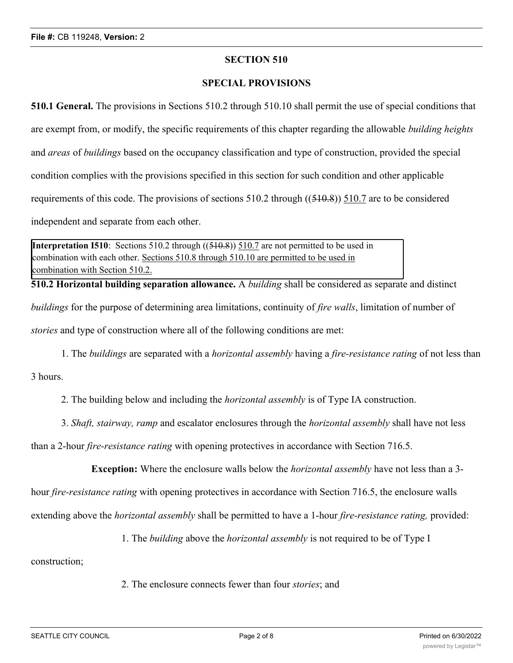#### **SECTION 510**

#### **SPECIAL PROVISIONS**

**510.1 General.** The provisions in Sections 510.2 through 510.10 shall permit the use of special conditions that are exempt from, or modify, the specific requirements of this chapter regarding the allowable *building heights* and *areas* of *buildings* based on the occupancy classification and type of construction, provided the special condition complies with the provisions specified in this section for such condition and other applicable requirements of this code. The provisions of sections  $510.2$  through  $((510.8))$  510.7 are to be considered independent and separate from each other.

**Interpretation I510**: Sections 510.2 through ((510.8)) 510.7 are not permitted to be used in combination with each other. Sections 510.8 through 510.10 are permitted to be used in combination with Section 510.2.

**510.2 Horizontal building separation allowance.** A *building* shall be considered as separate and distinct *buildings* for the purpose of determining area limitations, continuity of *fire walls*, limitation of number of *stories* and type of construction where all of the following conditions are met:

1. The *buildings* are separated with a *horizontal assembly* having a *fire-resistance rating* of not less than

3 hours.

2. The building below and including the *horizontal assembly* is of Type IA construction.

3. *Shaft, stairway, ramp* and escalator enclosures through the *horizontal assembly* shall have not less

than a 2-hour *fire-resistance rating* with opening protectives in accordance with Section 716.5.

**Exception:** Where the enclosure walls below the *horizontal assembly* have not less than a 3-

hour *fire-resistance rating* with opening protectives in accordance with Section 716.5, the enclosure walls

extending above the *horizontal assembly* shall be permitted to have a 1-hour *fire-resistance rating,* provided:

1. The *building* above the *horizontal assembly* is not required to be of Type I

construction;

2. The enclosure connects fewer than four *stories*; and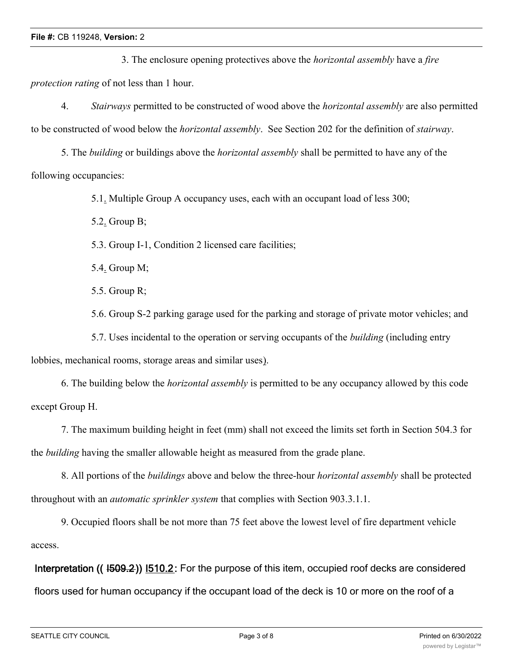3. The enclosure opening protectives above the *horizontal assembly* have a *fire protection rating* of not less than 1 hour.

4. *Stairways* permitted to be constructed of wood above the *horizontal assembly* are also permitted to be constructed of wood below the *horizontal assembly*. See Section 202 for the definition of *stairway*.

5. The *building* or buildings above the *horizontal assembly* shall be permitted to have any of the following occupancies:

5.1. Multiple Group A occupancy uses, each with an occupant load of less 300;

5.2. Group B;

5.3. Group I-1, Condition 2 licensed care facilities;

5.4. Group M;

5.5. Group R;

5.6. Group S-2 parking garage used for the parking and storage of private motor vehicles; and

5.7. Uses incidental to the operation or serving occupants of the *building* (including entry

lobbies, mechanical rooms, storage areas and similar uses).

6. The building below the *horizontal assembly* is permitted to be any occupancy allowed by this code except Group H.

7. The maximum building height in feet (mm) shall not exceed the limits set forth in Section 504.3 for the *building* having the smaller allowable height as measured from the grade plane.

8. All portions of the *buildings* above and below the three-hour *horizontal assembly* shall be protected throughout with an *automatic sprinkler system* that complies with Section 903.3.1.1.

9. Occupied floors shall be not more than 75 feet above the lowest level of fire department vehicle access.

**Interpretation (( I509.2)) I510.2:** For the purpose of this item, occupied roof decks are considered floors used for human occupancy if the occupant load of the deck is 10 or more on the roof of a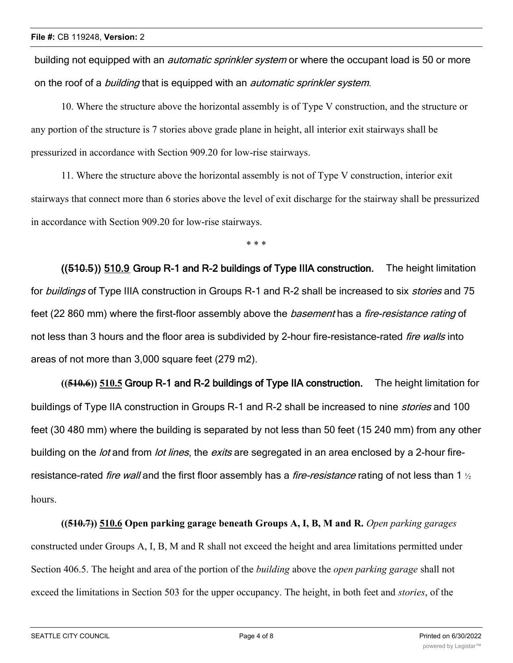building not equipped with an *automatic sprinkler system* or where the occupant load is 50 or more on the roof of a *building* that is equipped with an *automatic sprinkler system*.

10. Where the structure above the horizontal assembly is of Type V construction, and the structure or any portion of the structure is 7 stories above grade plane in height, all interior exit stairways shall be pressurized in accordance with Section 909.20 for low-rise stairways.

11. Where the structure above the horizontal assembly is not of Type V construction, interior exit stairways that connect more than 6 stories above the level of exit discharge for the stairway shall be pressurized in accordance with Section 909.20 for low-rise stairways.

\* \* \*

**((510.5)) 510.9 Group R-1 and R-2 buildings of Type IIIA construction.** The height limitation for *buildings* of Type IIIA construction in Groups R-1 and R-2 shall be increased to six *stories* and 75 feet (22 860 mm) where the first-floor assembly above the *basement* has a *fire-resistance rating* of not less than 3 hours and the floor area is subdivided by 2-hour fire-resistance-rated *fire walls* into areas of not more than 3,000 square feet (279 m2).

**((510.6)) 510.5 Group R-1 and R-2 buildings of Type IIA construction.** The height limitation for buildings of Type IIA construction in Groups R-1 and R-2 shall be increased to nine *stories* and 100 feet (30 480 mm) where the building is separated by not less than 50 feet (15 240 mm) from any other building on the *lot* and from *lot lines*, the *exits* are segregated in an area enclosed by a 2-hour fireresistance-rated *fire wall* and the first floor assembly has a *fire-resistance* rating of not less than 1 ½ hours.

**((510.7)) 510.6 Open parking garage beneath Groups A, I, B, M and R.** *Open parking garages* constructed under Groups A, I, B, M and R shall not exceed the height and area limitations permitted under Section 406.5. The height and area of the portion of the *building* above the *open parking garage* shall not exceed the limitations in Section 503 for the upper occupancy. The height, in both feet and *stories*, of the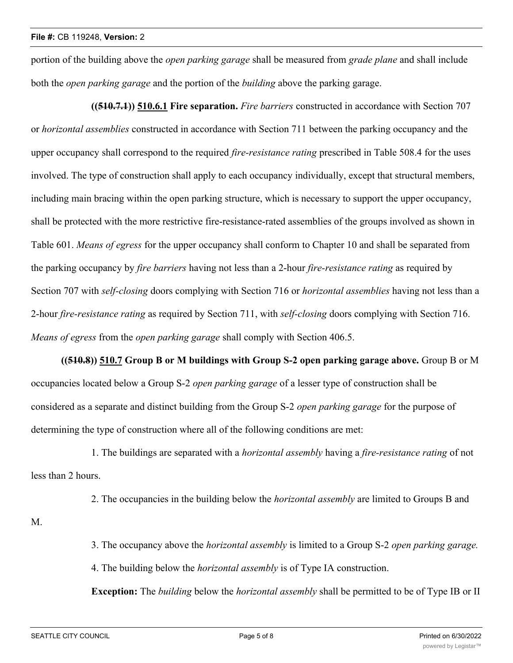portion of the building above the *open parking garage* shall be measured from *grade plane* and shall include both the *open parking garage* and the portion of the *building* above the parking garage.

**((510.7.1)) 510.6.1 Fire separation.** *Fire barriers* constructed in accordance with Section 707 or *horizontal assemblies* constructed in accordance with Section 711 between the parking occupancy and the upper occupancy shall correspond to the required *fire-resistance rating* prescribed in Table 508.4 for the uses involved. The type of construction shall apply to each occupancy individually, except that structural members, including main bracing within the open parking structure, which is necessary to support the upper occupancy, shall be protected with the more restrictive fire-resistance-rated assemblies of the groups involved as shown in Table 601. *Means of egress* for the upper occupancy shall conform to Chapter 10 and shall be separated from the parking occupancy by *fire barriers* having not less than a 2-hour *fire-resistance rating* as required by Section 707 with *self-closing* doors complying with Section 716 or *horizontal assemblies* having not less than a 2-hour *fire-resistance rating* as required by Section 711, with *self-closing* doors complying with Section 716. *Means of egress* from the *open parking garage* shall comply with Section 406.5.

**((510.8)) 510.7 Group B or M buildings with Group S-2 open parking garage above.** Group B or M occupancies located below a Group S-2 *open parking garage* of a lesser type of construction shall be considered as a separate and distinct building from the Group S-2 *open parking garage* for the purpose of determining the type of construction where all of the following conditions are met:

1. The buildings are separated with a *horizontal assembly* having a *fire-resistance rating* of not less than 2 hours.

2. The occupancies in the building below the *horizontal assembly* are limited to Groups B and

M.

3. The occupancy above the *horizontal assembly* is limited to a Group S-2 *open parking garage.*

4. The building below the *horizontal assembly* is of Type IA construction.

**Exception:** The *building* below the *horizontal assembly* shall be permitted to be of Type IB or II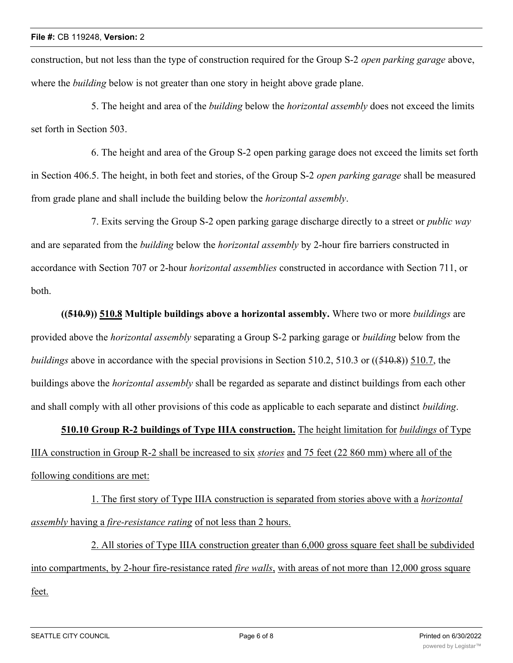construction, but not less than the type of construction required for the Group S-2 *open parking garage* above, where the *building* below is not greater than one story in height above grade plane.

5. The height and area of the *building* below the *horizontal assembly* does not exceed the limits set forth in Section 503.

6. The height and area of the Group S-2 open parking garage does not exceed the limits set forth in Section 406.5. The height, in both feet and stories, of the Group S-2 *open parking garage* shall be measured from grade plane and shall include the building below the *horizontal assembly*.

7. Exits serving the Group S-2 open parking garage discharge directly to a street or *public way* and are separated from the *building* below the *horizontal assembly* by 2-hour fire barriers constructed in accordance with Section 707 or 2-hour *horizontal assemblies* constructed in accordance with Section 711, or both.

**((510.9)) 510.8 Multiple buildings above a horizontal assembly.** Where two or more *buildings* are provided above the *horizontal assembly* separating a Group S-2 parking garage or *building* below from the *buildings* above in accordance with the special provisions in Section 510.2, 510.3 or ((510.8)) 510.7, the buildings above the *horizontal assembly* shall be regarded as separate and distinct buildings from each other and shall comply with all other provisions of this code as applicable to each separate and distinct *building*.

**510.10 Group R-2 buildings of Type IIIA construction.** The height limitation for *buildings* of Type IIIA construction in Group R-2 shall be increased to six *stories* and 75 feet (22 860 mm) where all of the following conditions are met:

1. The first story of Type IIIA construction is separated from stories above with a *horizontal assembly* having a *fire-resistance rating* of not less than 2 hours.

2. All stories of Type IIIA construction greater than 6,000 gross square feet shall be subdivided into compartments, by 2-hour fire-resistance rated *fire walls*, with areas of not more than 12,000 gross square feet.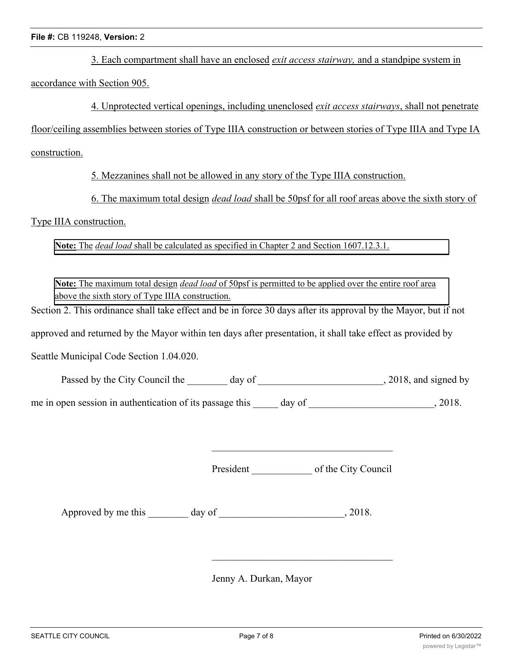3. Each compartment shall have an enclosed *exit access stairway,* and a standpipe system in

accordance with Section 905.

4. Unprotected vertical openings, including unenclosed *exit access stairways*, shall not penetrate

floor/ceiling assemblies between stories of Type IIIA construction or between stories of Type IIIA and Type IA

construction.

5. Mezzanines shall not be allowed in any story of the Type IIIA construction.

6. The maximum total design *dead load* shall be 50psf for all roof areas above the sixth story of

#### Type IIIA construction.

**Note:** The *dead load* shall be calculated as specified in Chapter 2 and Section 1607.12.3.1.

**Note:** The maximum total design *dead load* of 50psf is permitted to be applied over the entire roof area above the sixth story of Type IIIA construction.

Section 2. This ordinance shall take effect and be in force 30 days after its approval by the Mayor, but if not

approved and returned by the Mayor within ten days after presentation, it shall take effect as provided by

Seattle Municipal Code Section 1.04.020.

Passed by the City Council the \_\_\_\_\_\_\_ day of \_\_\_\_\_\_\_\_\_\_\_\_\_\_\_\_\_\_\_\_\_\_\_\_, 2018, and signed by

me in open session in authentication of its passage this day of  $\qquad \qquad$ , 2018.

President of the City Council

Approved by me this day of 3018.

Jenny A. Durkan, Mayor